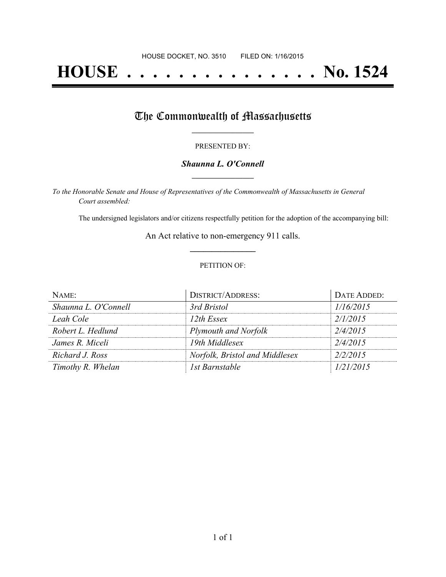# **HOUSE . . . . . . . . . . . . . . . No. 1524**

## The Commonwealth of Massachusetts

#### PRESENTED BY:

#### *Shaunna L. O'Connell* **\_\_\_\_\_\_\_\_\_\_\_\_\_\_\_\_\_**

*To the Honorable Senate and House of Representatives of the Commonwealth of Massachusetts in General Court assembled:*

The undersigned legislators and/or citizens respectfully petition for the adoption of the accompanying bill:

An Act relative to non-emergency 911 calls. **\_\_\_\_\_\_\_\_\_\_\_\_\_\_\_**

#### PETITION OF:

| NAME:                | <b>DISTRICT/ADDRESS:</b>       | DATE ADDED: |
|----------------------|--------------------------------|-------------|
| Shaunna L. O'Connell | 3rd Bristol                    | 1/16/2015   |
| Leah Cole            | 12th Essex                     | 2/1/2015    |
| Robert L. Hedlund    | Plymouth and Norfolk           | 2/4/2015    |
| James R. Miceli      | 19th Middlesex                 | 2/4/2015    |
| Richard J. Ross      | Norfolk, Bristol and Middlesex | 2/2/2015    |
| Timothy R. Whelan    | 1st Barnstable                 | 1/21/2015   |